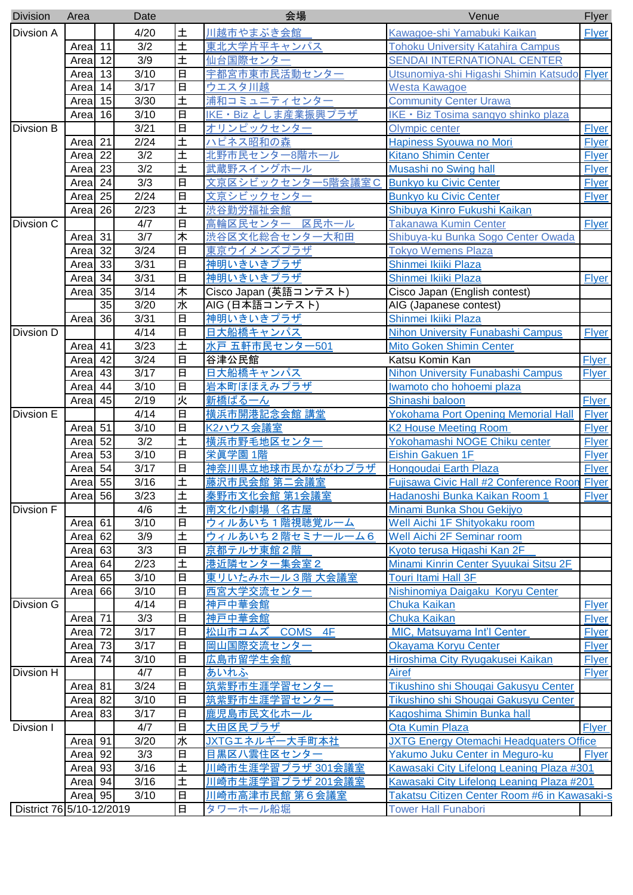| <b>Division</b>  | Area                            |                          | Date             |                         | 会場                           | Venue                                          | Flyer        |
|------------------|---------------------------------|--------------------------|------------------|-------------------------|------------------------------|------------------------------------------------|--------------|
| <b>Divsion A</b> |                                 |                          | 4/20             | 土                       | 川越市やまぶき会館                    | Kawagoe-shi Yamabuki Kaikan                    | <b>Flyer</b> |
|                  | Area 11                         |                          | $\overline{3/2}$ | $\overline{\pm}$        | 東北大学片平キャンパス                  | <b>Tohoku University Katahira Campus</b>       |              |
|                  | Area <sup>12</sup>              |                          | 3/9              | 土                       | 仙台国際センター                     | <b>SENDAI INTERNATIONAL CENTER</b>             |              |
|                  | Areal                           | 13                       | 3/10             | $\Box$                  | 宇都宮市東市民活動センター                | Utsunomiya-shi Higashi Shimin Katsudo Flyer    |              |
|                  | Areal                           | 14                       | 3/17             | 日                       | ウエスタ川越                       | <b>Westa Kawagoe</b>                           |              |
|                  | Area                            | 15                       | 3/30             | $\overline{\pm}$        | 浦和コミュニティセンター                 | <b>Community Center Urawa</b>                  |              |
|                  | Areal                           | 16                       | 3/10             | 日                       | <u> IKE • Biz としま産業振興プラザ</u> | IKE · Biz Tosima sangyo shinko plaza           |              |
| <b>Divsion B</b> |                                 |                          | 3/21             | $\overline{\mathbf{H}}$ | オリンピックセンター                   | <b>Olympic center</b>                          | <b>Flyer</b> |
| Divsion C        | Area 21                         |                          | 2/24             | $\overline{\pm}$        | ハピネス昭和の森                     | Hapiness Syouwa no Mori                        | <b>Flyer</b> |
|                  | Area                            | 22                       | 3/2              | 土                       | 北野市民センター8階ホール                | <b>Kitano Shimin Center</b>                    | <b>Flyer</b> |
|                  | Areal                           | 23                       | 3/2              | 土                       | 武蔵野スイングホール                   | Musashi no Swing hall                          | <b>Flyer</b> |
|                  | Areal                           | 24                       | 3/3              | $\Box$                  | 文京区シビックセンター5階会議室C            | <b>Bunkyo ku Civic Center</b>                  | <b>Flyer</b> |
|                  | Area                            | 25                       | 2/24             | 日                       | <u> 文京シビックセンター</u>           | <b>Bunkyo ku Civic Center</b>                  | <b>Flyer</b> |
|                  | Area                            | 26                       | 2/23             | $\overline{\pm}$        | <b>渋谷勤労福祉会館</b>              | Shibuya Kinro Fukushi Kaikan                   |              |
|                  |                                 |                          | 4/7              | 日                       | 高輪区民センター 区民ホール               | <b>Takanawa Kumin Center</b>                   | Flyer        |
|                  |                                 |                          | 3/7              | 末                       |                              |                                                |              |
|                  | Area <sup>31</sup>              |                          |                  |                         | 渋谷区文化総合センター大和田               | Shibuya-ku Bunka Sogo Center Owada             |              |
|                  | Areal                           | 32                       | 3/24             | $\Box$                  | 東京ウイメンズプラザ                   | <b>Tokyo Wemens Plaza</b>                      |              |
|                  | Area <sup>33</sup>              |                          | 3/31             | 日                       | 神明いきいきプラザ                    | Shinmei Ikiiki Plaza                           |              |
|                  | Area                            | 34                       | 3/31             | $\Box$                  | 神明いきいきプラザ                    | Shinmei Ikiiki Plaza                           | <b>Flyer</b> |
|                  | Area                            | 35                       | 3/14             | 末                       | Cisco Japan (英語コンテスト)        | Cisco Japan (English contest)                  |              |
|                  |                                 | $\overline{35}$          | 3/20             | 水                       | AIG (日本語コンテスト)               | AIG (Japanese contest)                         |              |
|                  | Area                            | 36                       | 3/31             | $\Box$                  | <b>神明いきいきプラザ</b>             | Shinmei Ikiiki Plaza                           |              |
| <b>Divsion D</b> |                                 |                          | 4/14             | $\overline{\mathbf{H}}$ | 日大船橋キャンパス                    | <b>Nihon University Funabashi Campus</b>       | <b>Flyer</b> |
|                  | Area                            | 41                       | 3/23             | 土                       | 水戸 五軒市民センター501               | <b>Mito Goken Shimin Center</b>                |              |
|                  | Areal                           | 42                       | 3/24             | $\Box$                  | 谷津公民館                        | Katsu Komin Kan                                | <b>Flyer</b> |
|                  | Areal                           | 43                       | 3/17             | $\Box$                  | 日大船橋キャンパス                    | Nihon University Funabashi Campus              | <b>Flyer</b> |
|                  | Areal                           | 44                       | 3/10             | $\Box$                  | 岩本町ほほえみプラザ                   | Iwamoto cho hohoemi plaza                      |              |
|                  | Area                            | 45                       | 2/19             | 灭                       | 新橋ばる一ん                       | Shinashi baloon                                | <b>Flyer</b> |
| <b>Divsion E</b> |                                 |                          | 4/14             | $\Box$                  | 横浜市開港記念会館 講堂                 | <b>Yokohama Port Opening Memorial Hall</b>     | Flyer        |
|                  | Area $\overline{51}$            |                          | 3/10             | $\overline{\mathbf{H}}$ | K2ハウス会議室                     | <b>K2 House Meeting Room</b>                   | <b>Flyer</b> |
|                  | Area $\overline{52}$            |                          | 3/2              | $\overline{\pm}$        | 横浜市野毛地区センター                  | Yokohamashi NOGE Chiku center                  | <b>Flyer</b> |
|                  | Area                            | 53                       | 3/10             | $\Box$                  | 栄眞学園 1階                      | <b>Eishin Gakuen 1F</b>                        | <b>Flyer</b> |
|                  | Areal                           | 54                       | 3/17             | 日                       | 神奈川県立地球市民かながわプラザ             | Hongoudai Earth Plaza                          | <b>Flyer</b> |
|                  | Area <sup>1</sup> <sub>55</sub> |                          | 3/16             | Ŧ                       | 藤沢市民会館 第二会議室                 | Fujisawa Civic Hall #2 Conference Roon Flyer   |              |
|                  | Area 56                         |                          | 3/23             | 土                       | <u> 秦野市文化会館 第1会議室</u>        | Hadanoshi Bunka Kaikan Room 1                  | <b>Flyer</b> |
| Divsion F        |                                 |                          | 4/6              | 土                       | 南文化小劇場(名古屋                   | Minami Bunka Shou Gekijyo                      |              |
|                  | Area 61                         |                          | 3/10             | $\Box$                  | ウィルあいち1階視聴覚ルーム               | Well Aichi 1F Shityokaku room                  |              |
|                  | Area <sup>62</sup>              |                          | 3/9              | 土                       | <u>ウィルあいち2階セミナールーム6</u>      | <b>Well Aichi 2F Seminar room</b>              |              |
|                  | Area                            | 63                       | 3/3              | 日                       | 京都テルサ東館2階                    | Kyoto terusa Higashi Kan 2F                    |              |
|                  | Area                            | 64                       | 2/23             | 土                       | 港近隣センター集会室2                  | Minami Kinrin Center Syuukai Sitsu 2F          |              |
|                  | Areal                           | 65                       | 3/10             | $\Box$                  | 東リいたみホール3階 大会議室              | <b>Touri Itami Hall 3F</b>                     |              |
|                  | Area                            | 66                       | 3/10             | 日                       | 西宮大学交流センター                   | Nishinomiya Daigaku Koryu Center               |              |
| Divsion G        |                                 |                          | 4/14             | $\overline{\mathbf{H}}$ | 神戸中華会館                       | Chuka Kaikan                                   | <b>Flyer</b> |
|                  | Area 71                         |                          | 3/3              | 日                       | 神戸中華会館                       | Chuka Kaikan                                   | <b>Flyer</b> |
|                  | Area 72                         |                          | 3/17             | $\Box$                  | <u> 松山市コムズ COMS 4F</u>       | MIC, Matsuyama Int'l Center                    | <b>Flyer</b> |
|                  | Area 73                         |                          | 3/17             | 日                       | <b>岡山国際交流センター</b>            | Okayama Koryu Center                           | <b>Flyer</b> |
|                  | Area 74                         |                          | 3/10             | $\Box$                  | 広島市留学生会館                     | Hiroshima City Ryugakusei Kaikan               | <b>Flyer</b> |
| Divsion H        |                                 |                          | 4/7              | 日                       | あいれふ                         | Airef                                          | <b>Flyer</b> |
|                  | Area 81                         |                          | 3/24             | 日                       | 筑紫野市生涯学習センター                 | Tikushino shi Shougai Gakusyu Center           |              |
|                  | Area <sup>82</sup>              |                          | 3/10             | 日                       |                              |                                                |              |
|                  |                                 |                          |                  |                         | 筑紫野市生涯学習センター                 | Tikushino shi Shougai Gakusyu Center           |              |
|                  | Area                            | 83                       | 3/17             | 日                       | 鹿児島市民文化ホール                   | Kagoshima Shimin Bunka hall                    |              |
| Divsion I        |                                 |                          | 4/7              | 日                       | <u>大田区民プラザ</u>               | <b>Ota Kumin Plaza</b>                         | <b>Flyer</b> |
|                  | Area 91                         |                          | 3/20             | 水                       | JXTGエネルギー大手町本社               | <b>JXTG Energy Otemachi Headquaters Office</b> |              |
|                  | Area <sup>1</sup> 92            |                          | 3/3              | 日                       | 目黒区八雲住区センター                  | Yakumo Juku Center in Meguro-ku                | <b>Flyer</b> |
|                  | Area   93                       |                          | 3/16             | 土                       | 川崎市生涯学習プラザ 301会議室            | Kawasaki City Lifelong Leaning Plaza #301      |              |
|                  | Area 94                         |                          | 3/16             | 土                       | 川崎市生涯学習プラザ 201会議室            | Kawasaki City Lifelong Leaning Plaza #201      |              |
|                  | Area   95                       |                          | 3/10             | 日                       | 川崎市高津市民館 第6会議室               | Takatsu Citizen Center Room #6 in Kawasaki-s   |              |
|                  |                                 | District 76 5/10-12/2019 |                  | $\overline{\mathbf{H}}$ | タワーホール船堀                     | <b>Tower Hall Funabori</b>                     |              |